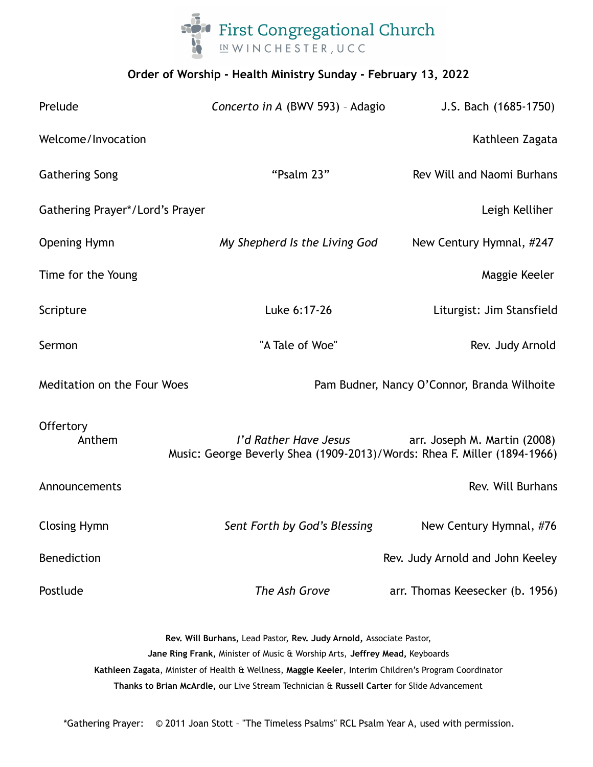

# **Order of Worship - Health Ministry Sunday - February 13, 2022**

| Prelude                         | Concerto in A (BWV 593) - Adagio                                                                  | J.S. Bach (1685-1750)                       |
|---------------------------------|---------------------------------------------------------------------------------------------------|---------------------------------------------|
| Welcome/Invocation              |                                                                                                   | Kathleen Zagata                             |
| <b>Gathering Song</b>           | "Psalm 23"                                                                                        | Rev Will and Naomi Burhans                  |
| Gathering Prayer*/Lord's Prayer |                                                                                                   | Leigh Kelliher                              |
| <b>Opening Hymn</b>             | My Shepherd Is the Living God                                                                     | New Century Hymnal, #247                    |
| Time for the Young              |                                                                                                   | Maggie Keeler                               |
| Scripture                       | Luke 6:17-26                                                                                      | Liturgist: Jim Stansfield                   |
| Sermon                          | "A Tale of Woe"                                                                                   | Rev. Judy Arnold                            |
| Meditation on the Four Woes     |                                                                                                   | Pam Budner, Nancy O'Connor, Branda Wilhoite |
| Offertory<br>Anthem             | I'd Rather Have Jesus<br>Music: George Beverly Shea (1909-2013)/Words: Rhea F. Miller (1894-1966) | arr. Joseph M. Martin (2008)                |
| Announcements                   |                                                                                                   | Rev. Will Burhans                           |
| <b>Closing Hymn</b>             | Sent Forth by God's Blessing                                                                      | New Century Hymnal, #76                     |
| Benediction                     |                                                                                                   | Rev. Judy Arnold and John Keeley            |
| Postlude                        | The Ash Grove                                                                                     | arr. Thomas Keesecker (b. 1956)             |

**Rev. Will Burhans,** Lead Pastor, **Rev. Judy Arnold,** Associate Pastor, **Jane Ring Frank,** Minister of Music & Worship Arts, **Jeffrey Mead,** Keyboards **Kathleen Zagata**, Minister of Health & Wellness, **Maggie Keeler**, Interim Children's Program Coordinator **Thanks to Brian McArdle,** our Live Stream Technician & **Russell Carter** for Slide Advancement

\*Gathering Prayer: © 2011 Joan Stott – "The Timeless Psalms" RCL Psalm Year A, used with permission.